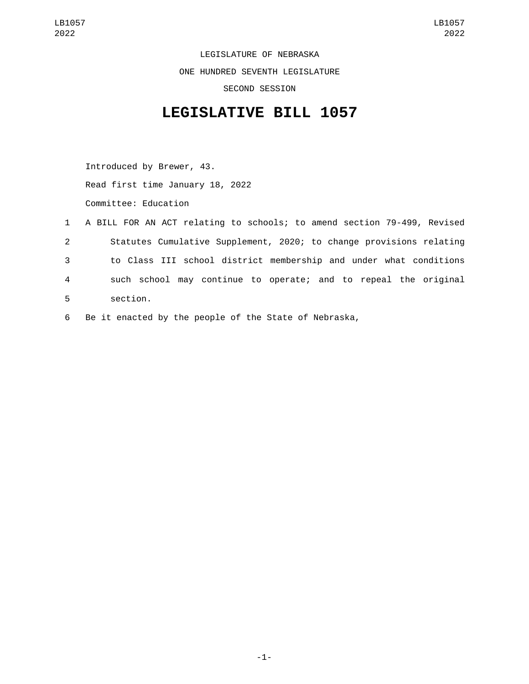LEGISLATURE OF NEBRASKA ONE HUNDRED SEVENTH LEGISLATURE SECOND SESSION

## **LEGISLATIVE BILL 1057**

Introduced by Brewer, 43. Read first time January 18, 2022 Committee: Education

- 1 A BILL FOR AN ACT relating to schools; to amend section 79-499, Revised 2 Statutes Cumulative Supplement, 2020; to change provisions relating 3 to Class III school district membership and under what conditions 4 such school may continue to operate; and to repeal the original section.5
- 6 Be it enacted by the people of the State of Nebraska,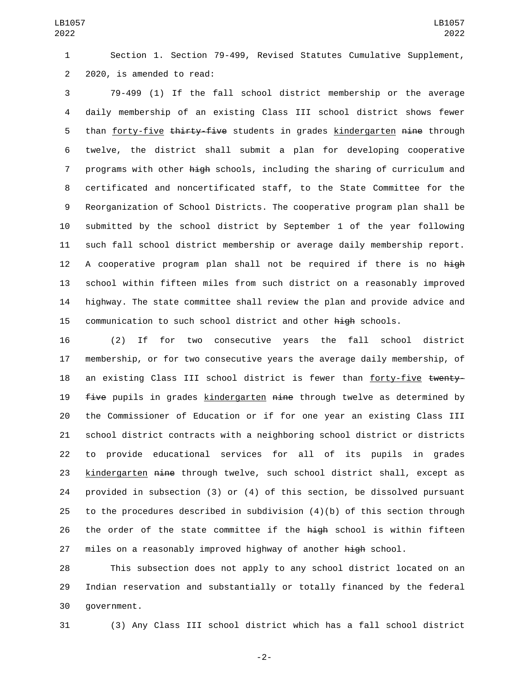Section 1. Section 79-499, Revised Statutes Cumulative Supplement, 2 2020, is amended to read:

 79-499 (1) If the fall school district membership or the average daily membership of an existing Class III school district shows fewer 5 than forty-five thirty-five students in grades kindergarten nine through twelve, the district shall submit a plan for developing cooperative 7 programs with other high schools, including the sharing of curriculum and certificated and noncertificated staff, to the State Committee for the Reorganization of School Districts. The cooperative program plan shall be submitted by the school district by September 1 of the year following such fall school district membership or average daily membership report. 12 A cooperative program plan shall not be required if there is no high school within fifteen miles from such district on a reasonably improved highway. The state committee shall review the plan and provide advice and 15 communication to such school district and other high schools.

 (2) If for two consecutive years the fall school district membership, or for two consecutive years the average daily membership, of 18 an existing Class III school district is fewer than forty-five twenty-19 five pupils in grades kindergarten nine through twelve as determined by the Commissioner of Education or if for one year an existing Class III school district contracts with a neighboring school district or districts to provide educational services for all of its pupils in grades 23 kindergarten <del>nine</del> through twelve, such school district shall, except as provided in subsection (3) or (4) of this section, be dissolved pursuant to the procedures described in subdivision (4)(b) of this section through 26 the order of the state committee if the high school is within fifteen 27 miles on a reasonably improved highway of another high school.

 This subsection does not apply to any school district located on an Indian reservation and substantially or totally financed by the federal 30 government.

(3) Any Class III school district which has a fall school district

-2-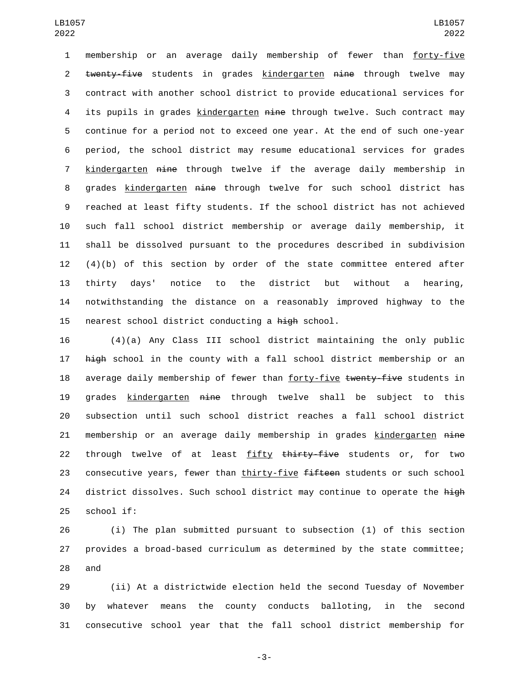membership or an average daily membership of fewer than forty-five 2 twenty-five students in grades kindergarten nine through twelve may contract with another school district to provide educational services for 4 its pupils in grades kindergarten nine through twelve. Such contract may continue for a period not to exceed one year. At the end of such one-year period, the school district may resume educational services for grades 7 kindergarten nine through twelve if the average daily membership in 8 grades kindergarten <del>nine</del> through twelve for such school district has reached at least fifty students. If the school district has not achieved such fall school district membership or average daily membership, it shall be dissolved pursuant to the procedures described in subdivision  $(4)(b)$  of this section by order of the state committee entered after thirty days' notice to the district but without a hearing, notwithstanding the distance on a reasonably improved highway to the 15 nearest school district conducting a high school.

16 (4)(a) Any Class III school district maintaining the only public 17 high school in the county with a fall school district membership or an 18 average daily membership of fewer than forty-five twenty-five students in 19 grades kindergarten nine through twelve shall be subject to this 20 subsection until such school district reaches a fall school district 21 membership or an average daily membership in grades kindergarten nine 22 through twelve of at least fifty thirty-five students or, for two 23 consecutive years, fewer than thirty-five fifteen students or such school 24 district dissolves. Such school district may continue to operate the high 25 school if:

26 (i) The plan submitted pursuant to subsection (1) of this section 27 provides a broad-based curriculum as determined by the state committee;  $28$  and

29 (ii) At a districtwide election held the second Tuesday of November 30 by whatever means the county conducts balloting, in the second 31 consecutive school year that the fall school district membership for

-3-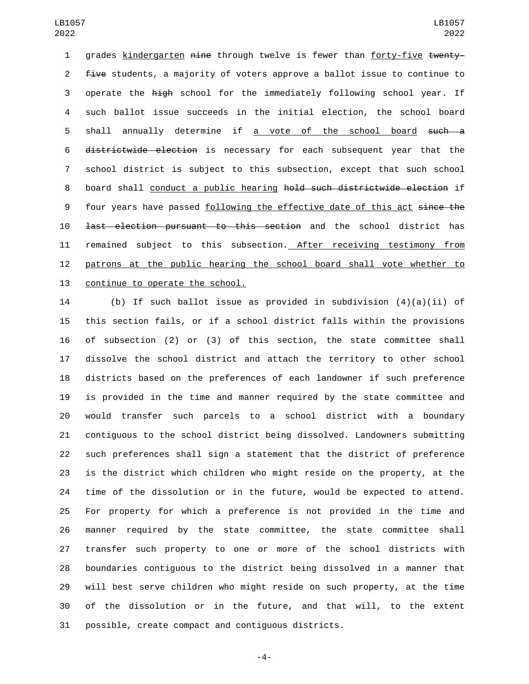1 grades kindergarten nine through twelve is fewer than forty-five twenty-2 five students, a majority of voters approve a ballot issue to continue to operate the high school for the immediately following school year. If such ballot issue succeeds in the initial election, the school board 5 shall annually determine if a vote of the school board such a districtwide election is necessary for each subsequent year that the school district is subject to this subsection, except that such school 8 board shall conduct a public hearing hold such districtwide election if 9 four years have passed following the effective date of this act since the last election pursuant to this section and the school district has 11 remained subject to this subsection. After receiving testimony from patrons at the public hearing the school board shall vote whether to 13 continue to operate the school.

 (b) If such ballot issue as provided in subdivision (4)(a)(ii) of this section fails, or if a school district falls within the provisions of subsection (2) or (3) of this section, the state committee shall dissolve the school district and attach the territory to other school districts based on the preferences of each landowner if such preference is provided in the time and manner required by the state committee and would transfer such parcels to a school district with a boundary contiguous to the school district being dissolved. Landowners submitting such preferences shall sign a statement that the district of preference is the district which children who might reside on the property, at the time of the dissolution or in the future, would be expected to attend. For property for which a preference is not provided in the time and manner required by the state committee, the state committee shall transfer such property to one or more of the school districts with boundaries contiguous to the district being dissolved in a manner that will best serve children who might reside on such property, at the time of the dissolution or in the future, and that will, to the extent possible, create compact and contiguous districts.

-4-